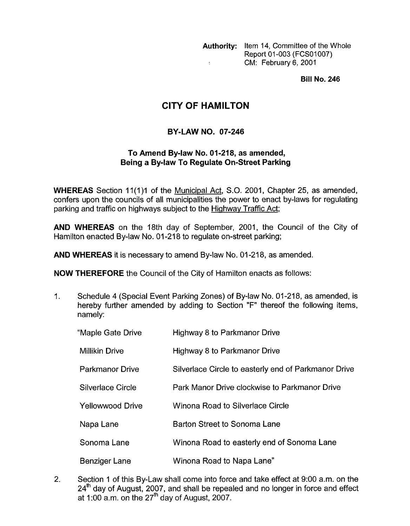**Authority:** Item **14,** Committee of the Whole Report 01-003 (FCS01007) CM: February 6,2001  $\bar{\Sigma}$ 

**Bill No. 246** 

## **CITY OF HAMILTON**

## **BY-LAW NO. 07-246**

## **To Amend Bylaw No. 01-218, as amended, Being a Bylaw To Regulate On-Street Parking**

**WHEREAS** Section 11(1)1 of the Municipal Act, S.O. 2001, Chapter 25, as amended, confers upon the councils of all municipalities the power to enact by-laws for regulating parking and traffic on highways subject to the Hiahwav Traffic Act;

**AND WHEREAS** on the 18th day of September, 2001, the Council of the City of Hamilton enacted By-law No. 01-218 to regulate on-street parking;

**AND WHEREAS** it is necessary to amend By-law No. 01-218, as amended.

**NOW THEREFORE** the Council of the City of Hamilton enacts as follows:

1. Schedule 4 (Special Event Parking Zones) of By-law No. 01-218, as amended, is hereby further amended by adding to Section "F" thereof the following items, namely:

| "Maple Gate Drive       | Highway 8 to Parkmanor Drive                         |
|-------------------------|------------------------------------------------------|
| <b>Millikin Drive</b>   | Highway 8 to Parkmanor Drive                         |
| <b>Parkmanor Drive</b>  | Silverlace Circle to easterly end of Parkmanor Drive |
| Silverlace Circle       | Park Manor Drive clockwise to Parkmanor Drive        |
| <b>Yellowwood Drive</b> | Winona Road to Silverlace Circle                     |
| Napa Lane               | Barton Street to Sonoma Lane                         |
| Sonoma Lane             | Winona Road to easterly end of Sonoma Lane           |
| <b>Benziger Lane</b>    | Winona Road to Napa Lane"                            |

2. Section 1 of this By-Law shall come into force and take effect at 9:00 a.m. on the  $24<sup>th</sup>$  day of August, 2007, and shall be repealed and no longer in force and effect at 1:00 a.m. on the  $27<sup>th</sup>$  day of August, 2007.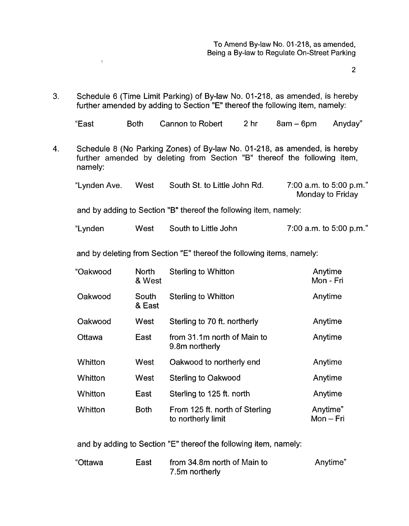2

3. Schedule 6 (Time Limit Parking) of By-law No. 01-218, as amended, is hereby further amended by adding to Section "E" thereof the following item, namely:

 $\overline{\mathbb{C}}$ 

| "East the final formulation of the final formulation of the final formulation of the final formulation of the | Both Cannon to Robert 2 hr 8am - 6pm Anyday" |  |  |
|---------------------------------------------------------------------------------------------------------------|----------------------------------------------|--|--|

4. Schedule 8 (No Parking Zones) of By-law No. 01-218, as amended, is hereby further amended by deleting from Section "B" thereof the following item, namely:

| "Lynden Ave. | West | South St. to Little John Rd. | 7:00 a.m. to 5:00 p.m."<br>Monday to Friday |
|--------------|------|------------------------------|---------------------------------------------|
|              |      |                              |                                             |

and by adding to Section "B" thereof the following item, namely:

"Lynden West South to Little John 7:00 a.m. to 5:00 p.m."

and by deleting from Section "E" thereof the following items, namely:

| "Oakwood       | <b>North</b><br>& West | <b>Sterling to Whitton</b>                           | Anytime<br>Mon - Fri    |
|----------------|------------------------|------------------------------------------------------|-------------------------|
| Oakwood        | South<br>& East        | <b>Sterling to Whitton</b>                           | Anytime                 |
| Oakwood        | West                   | Sterling to 70 ft. northerly                         | Anytime                 |
| Ottawa         | East                   | from 31.1m north of Main to<br>9.8m northerly        | Anytime                 |
| Whitton        | West                   | Oakwood to northerly end                             | Anytime                 |
| Whitton        | West                   | <b>Sterling to Oakwood</b>                           | Anytime                 |
| <b>Whitton</b> | East                   | Sterling to 125 ft. north                            | Anytime                 |
| Whitton        | <b>Both</b>            | From 125 ft. north of Sterling<br>to northerly limit | Anytime"<br>$Mon - Fri$ |

and by adding to Section "E" thereof the following item, namely:

| "Ottawa | East | from 34.8m north of Main to | Anytime" |
|---------|------|-----------------------------|----------|
|         |      | 7.5m northerly              |          |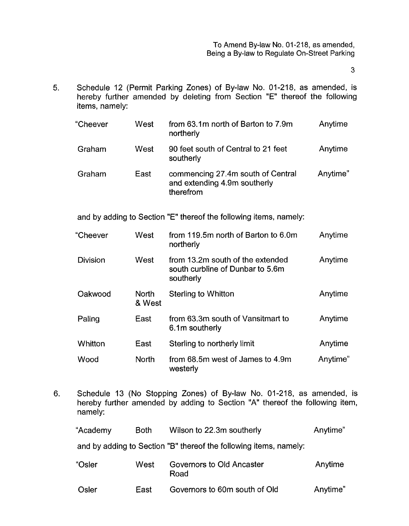To Amend By-law No. 01-218, as amended, Being a By-law to Regulate On-Street Parking

 $\overline{3}$ 

**5.** Schedule 12 (Permit Parking Zones) of By-law No. 01-218, as amended, is hereby further amended by deleting from Section "E" thereof the following items, namely:

| "Cheever        | West                   | from 63.1m north of Barton to 7.9m<br>northerly                                   | Anytime  |
|-----------------|------------------------|-----------------------------------------------------------------------------------|----------|
| Graham          | West                   | 90 feet south of Central to 21 feet<br>southerly                                  | Anytime  |
| Graham          | East                   | commencing 27.4m south of Central<br>and extending 4.9m southerly<br>therefrom    | Anytime" |
|                 |                        | and by adding to Section "E" thereof the following items, namely:                 |          |
| "Cheever        | West                   | from 119.5m north of Barton to 6.0m<br>northerly                                  | Anytime  |
| <b>Division</b> | West                   | from 13.2m south of the extended<br>south curbline of Dunbar to 5.6m<br>southerly | Anytime  |
| Oakwood         | <b>North</b><br>& West | Sterling to Whitton                                                               | Anytime  |
| Paling          | East                   | from 63.3m south of Vansitmart to<br>6.1m southerly                               | Anytime  |
| Whitton         | East                   | Sterling to northerly limit                                                       | Anytime  |
| Wood            | <b>North</b>           | from 68.5m west of James to 4.9m<br>westerly                                      | Anytime" |

6. Schedule 13 (No Stopping Zones) of By-law No. 01-218, as amended, is hereby further amended by adding to Section "A" thereof the following item, namely:

| "Academy | <b>Both</b> | Wilson to 22.3m southerly                                         | Anytime" |
|----------|-------------|-------------------------------------------------------------------|----------|
|          |             | and by adding to Section "B" thereof the following items, namely: |          |
| "Osler   | West        | Governors to Old Ancaster<br>Road                                 | Anytime  |
| Osler    | East        | Governors to 60m south of Old                                     | Anytime" |